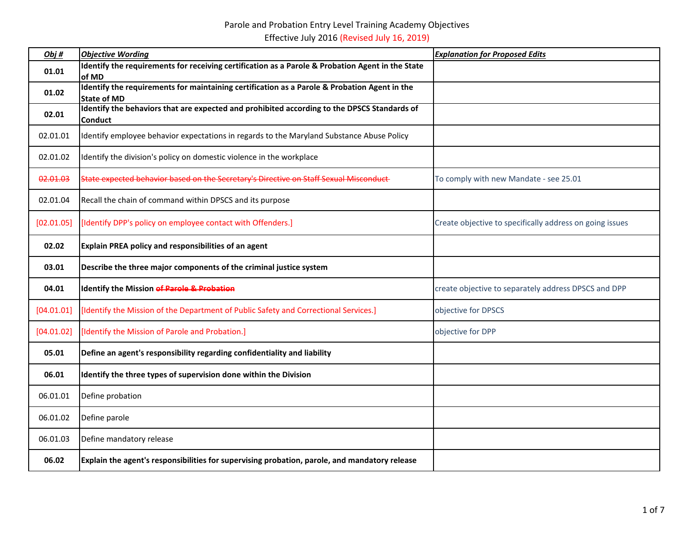| Obj#       | <b>Objective Wording</b>                                                                                           | <b>Explanation for Proposed Edits</b>                    |
|------------|--------------------------------------------------------------------------------------------------------------------|----------------------------------------------------------|
| 01.01      | Identify the requirements for receiving certification as a Parole & Probation Agent in the State<br>of MD          |                                                          |
| 01.02      | Identify the requirements for maintaining certification as a Parole & Probation Agent in the<br><b>State of MD</b> |                                                          |
| 02.01      | Identify the behaviors that are expected and prohibited according to the DPSCS Standards of<br><b>Conduct</b>      |                                                          |
| 02.01.01   | Identify employee behavior expectations in regards to the Maryland Substance Abuse Policy                          |                                                          |
| 02.01.02   | Identify the division's policy on domestic violence in the workplace                                               |                                                          |
| 02.01.03   | State expected behavior based on the Secretary's Directive on Staff Sexual Misconduct                              | To comply with new Mandate - see 25.01                   |
| 02.01.04   | Recall the chain of command within DPSCS and its purpose                                                           |                                                          |
| [02.01.05] | [Identify DPP's policy on employee contact with Offenders.]                                                        | Create objective to specifically address on going issues |
| 02.02      | Explain PREA policy and responsibilities of an agent                                                               |                                                          |
| 03.01      | Describe the three major components of the criminal justice system                                                 |                                                          |
| 04.01      | Identify the Mission of Parole & Probation                                                                         | create objective to separately address DPSCS and DPP     |
| [04.01.01] | [Identify the Mission of the Department of Public Safety and Correctional Services.]                               | objective for DPSCS                                      |
| [04.01.02] | [Identify the Mission of Parole and Probation.]                                                                    | objective for DPP                                        |
| 05.01      | Define an agent's responsibility regarding confidentiality and liability                                           |                                                          |
| 06.01      | Identify the three types of supervision done within the Division                                                   |                                                          |
| 06.01.01   | Define probation                                                                                                   |                                                          |
| 06.01.02   | Define parole                                                                                                      |                                                          |
| 06.01.03   | Define mandatory release                                                                                           |                                                          |
| 06.02      | Explain the agent's responsibilities for supervising probation, parole, and mandatory release                      |                                                          |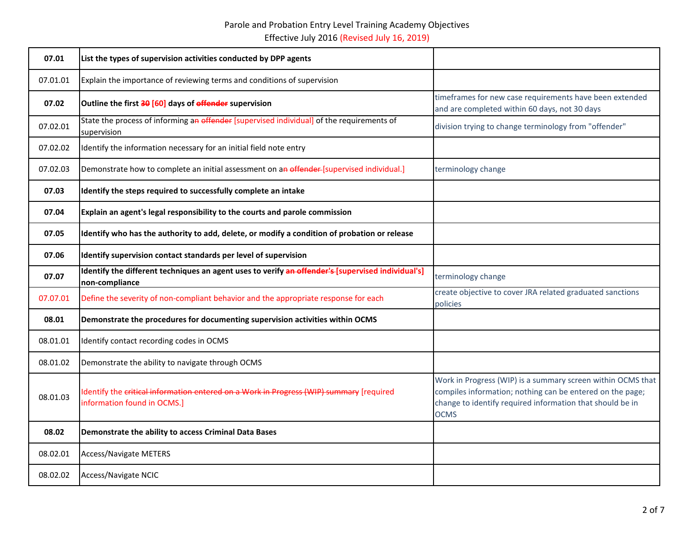| 07.01    | List the types of supervision activities conducted by DPP agents                                                       |                                                                                                                                                                                                      |
|----------|------------------------------------------------------------------------------------------------------------------------|------------------------------------------------------------------------------------------------------------------------------------------------------------------------------------------------------|
| 07.01.01 | Explain the importance of reviewing terms and conditions of supervision                                                |                                                                                                                                                                                                      |
| 07.02    | Outline the first 30 [60] days of offender supervision                                                                 | timeframes for new case requirements have been extended<br>and are completed within 60 days, not 30 days                                                                                             |
| 07.02.01 | State the process of informing an effender [supervised individual] of the requirements of<br>supervision               | division trying to change terminology from "offender"                                                                                                                                                |
| 07.02.02 | Identify the information necessary for an initial field note entry                                                     |                                                                                                                                                                                                      |
| 07.02.03 | Demonstrate how to complete an initial assessment on an offender-[supervised individual.]                              | terminology change                                                                                                                                                                                   |
| 07.03    | Identify the steps required to successfully complete an intake                                                         |                                                                                                                                                                                                      |
| 07.04    | Explain an agent's legal responsibility to the courts and parole commission                                            |                                                                                                                                                                                                      |
| 07.05    | Identify who has the authority to add, delete, or modify a condition of probation or release                           |                                                                                                                                                                                                      |
| 07.06    | Identify supervision contact standards per level of supervision                                                        |                                                                                                                                                                                                      |
| 07.07    | Identify the different techniques an agent uses to verify an offender's [supervised individual's]<br>non-compliance    | terminology change                                                                                                                                                                                   |
| 07.07.01 | Define the severity of non-compliant behavior and the appropriate response for each                                    | create objective to cover JRA related graduated sanctions<br>policies                                                                                                                                |
| 08.01    | Demonstrate the procedures for documenting supervision activities within OCMS                                          |                                                                                                                                                                                                      |
| 08.01.01 | Identify contact recording codes in OCMS                                                                               |                                                                                                                                                                                                      |
| 08.01.02 | Demonstrate the ability to navigate through OCMS                                                                       |                                                                                                                                                                                                      |
| 08.01.03 | Identify the critical information entered on a Work in Progress (WIP) summary [required<br>information found in OCMS.] | Work in Progress (WIP) is a summary screen within OCMS that<br>compiles information; nothing can be entered on the page;<br>change to identify required information that should be in<br><b>OCMS</b> |
| 08.02    | Demonstrate the ability to access Criminal Data Bases                                                                  |                                                                                                                                                                                                      |
| 08.02.01 | <b>Access/Navigate METERS</b>                                                                                          |                                                                                                                                                                                                      |
| 08.02.02 | Access/Navigate NCIC                                                                                                   |                                                                                                                                                                                                      |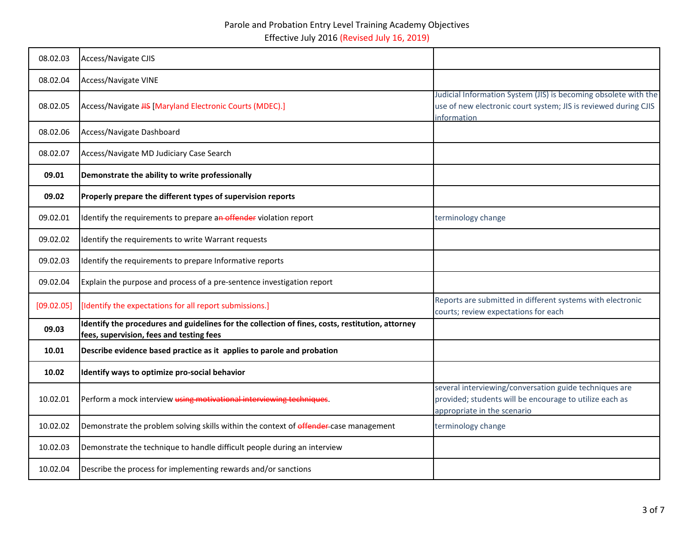| 08.02.03   | Access/Navigate CJIS                                                                                                                         |                                                                                                                                                   |
|------------|----------------------------------------------------------------------------------------------------------------------------------------------|---------------------------------------------------------------------------------------------------------------------------------------------------|
| 08.02.04   | <b>Access/Navigate VINE</b>                                                                                                                  |                                                                                                                                                   |
| 08.02.05   | Access/Navigate HS [Maryland Electronic Courts (MDEC).]                                                                                      | Judicial Information System (JIS) is becoming obsolete with the<br>use of new electronic court system; JIS is reviewed during CJIS<br>information |
| 08.02.06   | Access/Navigate Dashboard                                                                                                                    |                                                                                                                                                   |
| 08.02.07   | Access/Navigate MD Judiciary Case Search                                                                                                     |                                                                                                                                                   |
| 09.01      | Demonstrate the ability to write professionally                                                                                              |                                                                                                                                                   |
| 09.02      | Properly prepare the different types of supervision reports                                                                                  |                                                                                                                                                   |
| 09.02.01   | Identify the requirements to prepare an offender violation report                                                                            | terminology change                                                                                                                                |
| 09.02.02   | Identify the requirements to write Warrant requests                                                                                          |                                                                                                                                                   |
| 09.02.03   | Identify the requirements to prepare Informative reports                                                                                     |                                                                                                                                                   |
| 09.02.04   | Explain the purpose and process of a pre-sentence investigation report                                                                       |                                                                                                                                                   |
| [09.02.05] | [Identify the expectations for all report submissions.]                                                                                      | Reports are submitted in different systems with electronic<br>courts; review expectations for each                                                |
| 09.03      | Identify the procedures and guidelines for the collection of fines, costs, restitution, attorney<br>fees, supervision, fees and testing fees |                                                                                                                                                   |
| 10.01      | Describe evidence based practice as it applies to parole and probation                                                                       |                                                                                                                                                   |
| 10.02      | Identify ways to optimize pro-social behavior                                                                                                |                                                                                                                                                   |
| 10.02.01   | Perform a mock interview using motivational interviewing techniques.                                                                         | several interviewing/conversation guide techniques are<br>provided; students will be encourage to utilize each as<br>appropriate in the scenario  |
| 10.02.02   | Demonstrate the problem solving skills within the context of effender-case management                                                        | terminology change                                                                                                                                |
| 10.02.03   | Demonstrate the technique to handle difficult people during an interview                                                                     |                                                                                                                                                   |
| 10.02.04   | Describe the process for implementing rewards and/or sanctions                                                                               |                                                                                                                                                   |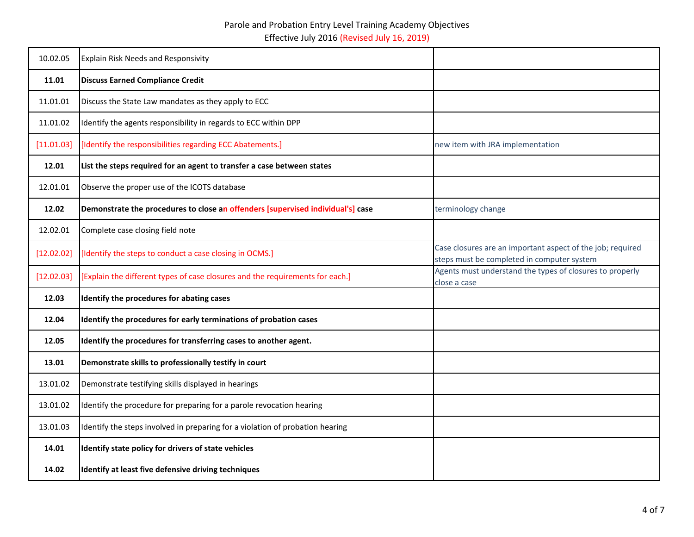| 10.02.05   | <b>Explain Risk Needs and Responsivity</b>                                      |                                                                                                          |
|------------|---------------------------------------------------------------------------------|----------------------------------------------------------------------------------------------------------|
| 11.01      | <b>Discuss Earned Compliance Credit</b>                                         |                                                                                                          |
| 11.01.01   | Discuss the State Law mandates as they apply to ECC                             |                                                                                                          |
| 11.01.02   | Identify the agents responsibility in regards to ECC within DPP                 |                                                                                                          |
| [11.01.03] | [Identify the responsibilities regarding ECC Abatements.]                       | new item with JRA implementation                                                                         |
| 12.01      | List the steps required for an agent to transfer a case between states          |                                                                                                          |
| 12.01.01   | Observe the proper use of the ICOTS database                                    |                                                                                                          |
| 12.02      | Demonstrate the procedures to close an offenders [supervised individual's] case | terminology change                                                                                       |
| 12.02.01   | Complete case closing field note                                                |                                                                                                          |
| [12.02.02] | [Identify the steps to conduct a case closing in OCMS.]                         | Case closures are an important aspect of the job; required<br>steps must be completed in computer system |
| [12.02.03] | [Explain the different types of case closures and the requirements for each.]   | Agents must understand the types of closures to properly<br>close a case                                 |
| 12.03      | Identify the procedures for abating cases                                       |                                                                                                          |
| 12.04      | Identify the procedures for early terminations of probation cases               |                                                                                                          |
| 12.05      | Identify the procedures for transferring cases to another agent.                |                                                                                                          |
| 13.01      | Demonstrate skills to professionally testify in court                           |                                                                                                          |
| 13.01.02   | Demonstrate testifying skills displayed in hearings                             |                                                                                                          |
| 13.01.02   | Identify the procedure for preparing for a parole revocation hearing            |                                                                                                          |
| 13.01.03   | Identify the steps involved in preparing for a violation of probation hearing   |                                                                                                          |
| 14.01      | Identify state policy for drivers of state vehicles                             |                                                                                                          |
| 14.02      | Identify at least five defensive driving techniques                             |                                                                                                          |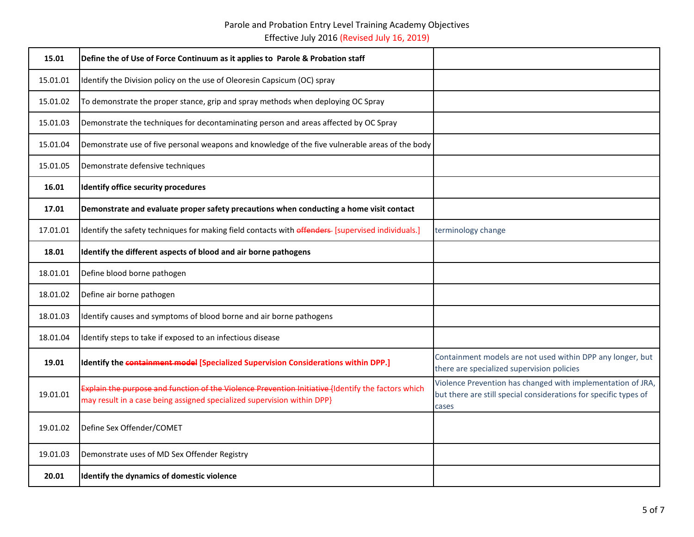| 15.01    | Define the of Use of Force Continuum as it applies to Parole & Probation staff                                                                                                |                                                                                                                                          |
|----------|-------------------------------------------------------------------------------------------------------------------------------------------------------------------------------|------------------------------------------------------------------------------------------------------------------------------------------|
| 15.01.01 | Identify the Division policy on the use of Oleoresin Capsicum (OC) spray                                                                                                      |                                                                                                                                          |
| 15.01.02 | To demonstrate the proper stance, grip and spray methods when deploying OC Spray                                                                                              |                                                                                                                                          |
| 15.01.03 | Demonstrate the techniques for decontaminating person and areas affected by OC Spray                                                                                          |                                                                                                                                          |
| 15.01.04 | Demonstrate use of five personal weapons and knowledge of the five vulnerable areas of the body                                                                               |                                                                                                                                          |
| 15.01.05 | Demonstrate defensive techniques                                                                                                                                              |                                                                                                                                          |
| 16.01    | <b>Identify office security procedures</b>                                                                                                                                    |                                                                                                                                          |
| 17.01    | Demonstrate and evaluate proper safety precautions when conducting a home visit contact                                                                                       |                                                                                                                                          |
| 17.01.01 | Identify the safety techniques for making field contacts with offenders- [supervised individuals.]                                                                            | terminology change                                                                                                                       |
| 18.01    | Identify the different aspects of blood and air borne pathogens                                                                                                               |                                                                                                                                          |
| 18.01.01 | Define blood borne pathogen                                                                                                                                                   |                                                                                                                                          |
| 18.01.02 | Define air borne pathogen                                                                                                                                                     |                                                                                                                                          |
| 18.01.03 | Identify causes and symptoms of blood borne and air borne pathogens                                                                                                           |                                                                                                                                          |
| 18.01.04 | Identify steps to take if exposed to an infectious disease                                                                                                                    |                                                                                                                                          |
| 19.01    | Identify the containment model [Specialized Supervision Considerations within DPP.]                                                                                           | Containment models are not used within DPP any longer, but<br>there are specialized supervision policies                                 |
| 19.01.01 | Explain the purpose and function of the Violence Prevention Initiative (Identify the factors which<br>may result in a case being assigned specialized supervision within DPP} | Violence Prevention has changed with implementation of JRA,<br>but there are still special considerations for specific types of<br>cases |
| 19.01.02 | Define Sex Offender/COMET                                                                                                                                                     |                                                                                                                                          |
| 19.01.03 | Demonstrate uses of MD Sex Offender Registry                                                                                                                                  |                                                                                                                                          |
| 20.01    | Identify the dynamics of domestic violence                                                                                                                                    |                                                                                                                                          |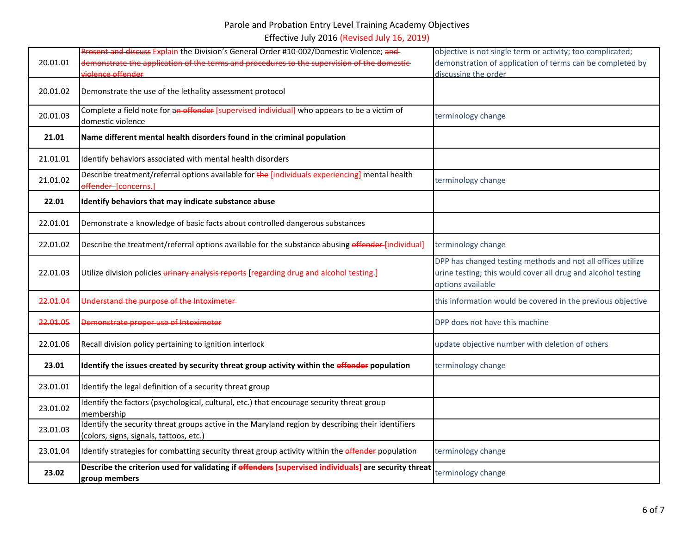|                     | Present and discuss Explain the Division's General Order #10-002/Domestic Violence; and                                                      | objective is not single term or activity; too complicated;                                                                                       |
|---------------------|----------------------------------------------------------------------------------------------------------------------------------------------|--------------------------------------------------------------------------------------------------------------------------------------------------|
| 20.01.01            | demonstrate the application of the terms and procedures to the supervision of the domestic-<br>violence offender                             | demonstration of application of terms can be completed by<br>discussing the order                                                                |
|                     |                                                                                                                                              |                                                                                                                                                  |
| 20.01.02            | Demonstrate the use of the lethality assessment protocol                                                                                     |                                                                                                                                                  |
| 20.01.03            | Complete a field note for an offender [supervised individual] who appears to be a victim of                                                  | terminology change                                                                                                                               |
|                     | domestic violence                                                                                                                            |                                                                                                                                                  |
| 21.01               | Name different mental health disorders found in the criminal population                                                                      |                                                                                                                                                  |
| 21.01.01            | Identify behaviors associated with mental health disorders                                                                                   |                                                                                                                                                  |
| 21.01.02            | Describe treatment/referral options available for the [individuals experiencing] mental health<br>offender-[concerns.]                       | terminology change                                                                                                                               |
| 22.01               | Identify behaviors that may indicate substance abuse                                                                                         |                                                                                                                                                  |
| 22.01.01            | Demonstrate a knowledge of basic facts about controlled dangerous substances                                                                 |                                                                                                                                                  |
| 22.01.02            | Describe the treatment/referral options available for the substance abusing offender-[individual]                                            | terminology change                                                                                                                               |
| 22.01.03            | Utilize division policies <i>urinary</i> analysis reports [regarding drug and alcohol testing.]                                              | DPP has changed testing methods and not all offices utilize<br>urine testing; this would cover all drug and alcohol testing<br>options available |
| <del>22.01.04</del> | Understand the purpose of the Intoximeter-                                                                                                   | this information would be covered in the previous objective                                                                                      |
| 22.01.05            | Demonstrate proper use of Intoximeter                                                                                                        | DPP does not have this machine                                                                                                                   |
| 22.01.06            | Recall division policy pertaining to ignition interlock                                                                                      | update objective number with deletion of others                                                                                                  |
| 23.01               | Identify the issues created by security threat group activity within the offender population                                                 | terminology change                                                                                                                               |
| 23.01.01            | Identify the legal definition of a security threat group                                                                                     |                                                                                                                                                  |
| 23.01.02            | Identify the factors (psychological, cultural, etc.) that encourage security threat group<br>membership                                      |                                                                                                                                                  |
| 23.01.03            | Identify the security threat groups active in the Maryland region by describing their identifiers<br>(colors, signs, signals, tattoos, etc.) |                                                                                                                                                  |
| 23.01.04            | Identify strategies for combatting security threat group activity within the offender population                                             | terminology change                                                                                                                               |
| 23.02               | Describe the criterion used for validating if offenders [supervised individuals] are security threat<br>group members                        | terminology change                                                                                                                               |